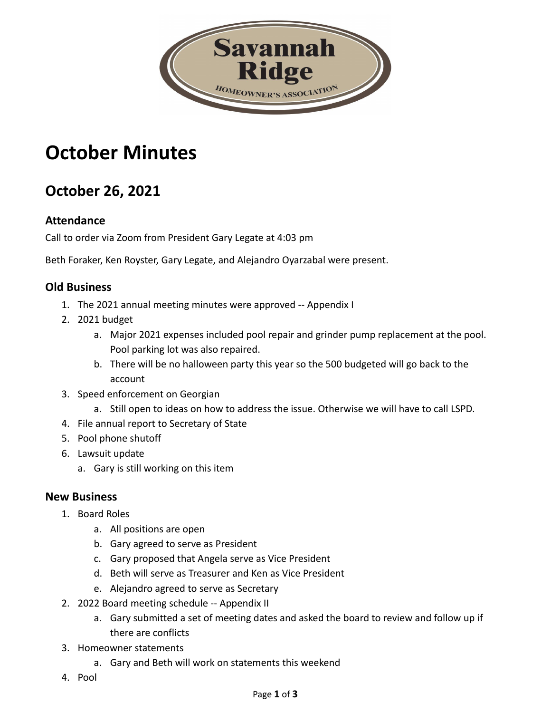

# **October Minutes**

# **October 26, 2021**

# **Attendance**

Call to order via Zoom from President Gary Legate at 4:03 pm

Beth Foraker, Ken Royster, Gary Legate, and Alejandro Oyarzabal were present.

# **Old Business**

- 1. The 2021 annual meeting minutes were approved -- Appendix I
- 2. 2021 budget
	- a. Major 2021 expenses included pool repair and grinder pump replacement at the pool. Pool parking lot was also repaired.
	- b. There will be no halloween party this year so the 500 budgeted will go back to the account
- 3. Speed enforcement on Georgian
	- a. Still open to ideas on how to address the issue. Otherwise we will have to call LSPD.
- 4. File annual report to Secretary of State
- 5. Pool phone shutoff
- 6. Lawsuit update
	- a. Gary is still working on this item

#### **New Business**

- 1. Board Roles
	- a. All positions are open
	- b. Gary agreed to serve as President
	- c. Gary proposed that Angela serve as Vice President
	- d. Beth will serve as Treasurer and Ken as Vice President
	- e. Alejandro agreed to serve as Secretary
- 2. 2022 Board meeting schedule -- Appendix II
	- a. Gary submitted a set of meeting dates and asked the board to review and follow up if there are conflicts
- 3. Homeowner statements
	- a. Gary and Beth will work on statements this weekend
- 4. Pool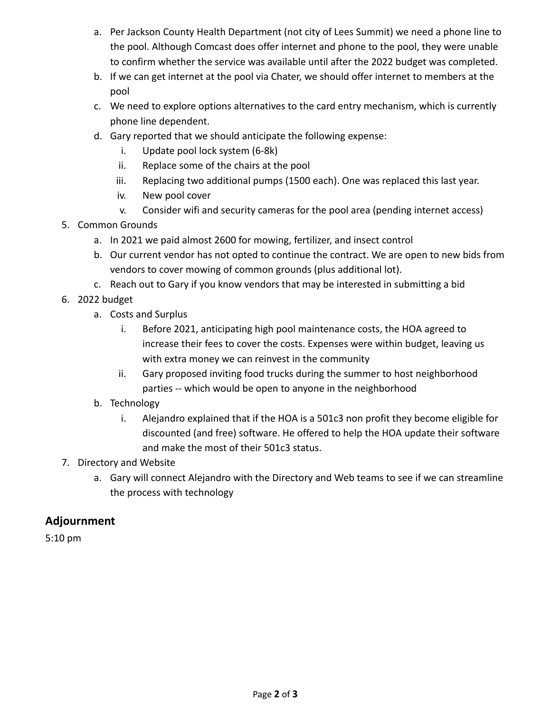- a. Per Jackson County Health Department (not city of Lees Summit) we need a phone line to the pool. Although Comcast does offer internet and phone to the pool, they were unable to confirm whether the service was available until after the 2022 budget was completed.
- b. If we can get internet at the pool via Chater, we should offer internet to members at the pool
- c. We need to explore options alternatives to the card entry mechanism, which is currently phone line dependent.
- d. Gary reported that we should anticipate the following expense:
	- i. Update pool lock system (6-8k)
	- ii. Replace some of the chairs at the pool
	- iii. Replacing two additional pumps (1500 each). One was replaced this last year.
	- iv. New pool cover
	- v. Consider wifi and security cameras for the pool area (pending internet access)
- 5. Common Grounds
	- a. In 2021 we paid almost 2600 for mowing, fertilizer, and insect control
	- b. Our current vendor has not opted to continue the contract. We are open to new bids from vendors to cover mowing of common grounds (plus additional lot).
	- c. Reach out to Gary if you know vendors that may be interested in submitting a bid
- 6. 2022 budget
	- a. Costs and Surplus
		- i. Before 2021, anticipating high pool maintenance costs, the HOA agreed to increase their fees to cover the costs. Expenses were within budget, leaving us with extra money we can reinvest in the community
		- ii. Gary proposed inviting food trucks during the summer to host neighborhood parties -- which would be open to anyone in the neighborhood
	- b. Technology
		- i. Alejandro explained that if the HOA is a 501c3 non profit they become eligible for discounted (and free) software. He offered to help the HOA update their software and make the most of their 501c3 status.
- 7. Directory and Website
	- a. Gary will connect Alejandro with the Directory and Web teams to see if we can streamline the process with technology

# **Adjournment**

5:10 pm